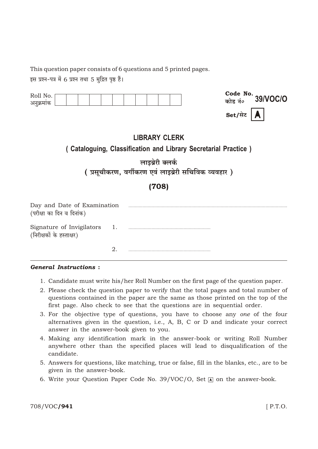This question paper consists of 6 questions and 5 printed pages.

इस प्रश्न-पत्र में 6 प्रश्न तथा 5 मुद्रित पृष्ठ हैं।

| Roll No.<br>अनुक्रमाक                                                                  |    |  |  |  |  | Set/सेट | Code No. 39/VOC/O |
|----------------------------------------------------------------------------------------|----|--|--|--|--|---------|-------------------|
| <b>LIBRARY CLERK</b><br>(Cataloguing, Classification and Library Secretarial Practice) |    |  |  |  |  |         |                   |
| लाइब्रेरी क्लर्क<br>(प्रसूचीकरण, वर्गीकरण एवं लाइब्रेरी सचिविक व्यवहार)                |    |  |  |  |  |         |                   |
| (708)                                                                                  |    |  |  |  |  |         |                   |
| Day and Date of Examination<br>(परीक्षा का दिन व दिनांक)                               |    |  |  |  |  |         |                   |
| Signature of Invigilators 1.<br>(निरीक्षकों के हस्ताक्षर)                              |    |  |  |  |  |         |                   |
|                                                                                        | 2. |  |  |  |  |         |                   |

## **General Instructions:**

- 1. Candidate must write his/her Roll Number on the first page of the question paper.
- 2. Please check the question paper to verify that the total pages and total number of questions contained in the paper are the same as those printed on the top of the first page. Also check to see that the questions are in sequential order.
- 3. For the objective type of questions, you have to choose any one of the four alternatives given in the question, i.e., A, B, C or D and indicate your correct answer in the answer-book given to you.
- 4. Making any identification mark in the answer-book or writing Roll Number anywhere other than the specified places will lead to disqualification of the candidate.
- 5. Answers for questions, like matching, true or false, fill in the blanks, etc., are to be given in the answer-book.
- 6. Write your Question Paper Code No. 39/VOC/O, Set  $\overline{A}$  on the answer-book.